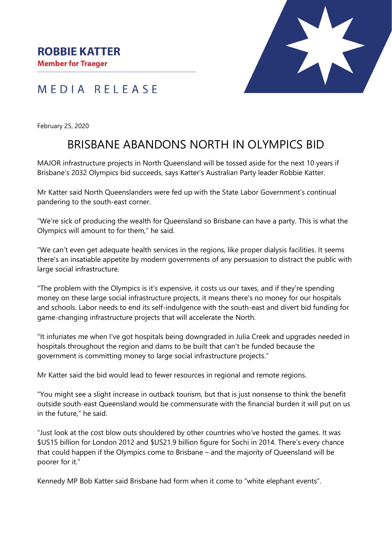

## MEDIA RELEASE

February 25, 2020

## BRISBANE ABANDONS NORTH IN OLYMPICS BID

MAJOR infrastructure projects in North Queensland will be tossed aside for the next 10 years if Brisbane's 2032 Olympics bid succeeds, says Katter's Australian Party leader Robbie Katter.

Mr Katter said North Queenslanders were fed up with the State Labor Government's continual pandering to the south-east corner.

"We're sick of producing the wealth for Queensland so Brisbane can have a party. This is what the Olympics will amount to for them," he said.

"We can't even get adequate health services in the regions, like proper dialysis facilities. It seems there's an insatiable appetite by modern governments of any persuasion to distract the public with large social infrastructure.

"The problem with the Olympics is it's expensive, it costs us our taxes, and if they're spending money on these large social infrastructure projects, it means there's no money for our hospitals and schools. Labor needs to end its self-indulgence with the south-east and divert bid funding for game-changing infrastructure projects that will accelerate the North.

"It infuriates me when I've got hospitals being downgraded in Julia Creek and upgrades needed in hospitals throughout the region and dams to be built that can't be funded because the government is committing money to large social infrastructure projects."

Mr Katter said the bid would lead to fewer resources in regional and remote regions.

"You might see a slight increase in outback tourism, but that is just nonsense to think the benefit outside south-east Queensland would be commensurate with the financial burden it will put on us in the future," he said.

"Just look at the cost blow outs shouldered by other countries who've hosted the games. It was \$US15 billion for London 2012 and \$US21.9 billion figure for Sochi in 2014. There's every chance that could happen if the Olympics come to Brisbane – and the majority of Queensland will be poorer for it."

Kennedy MP Bob Katter said Brisbane had form when it come to "white elephant events".